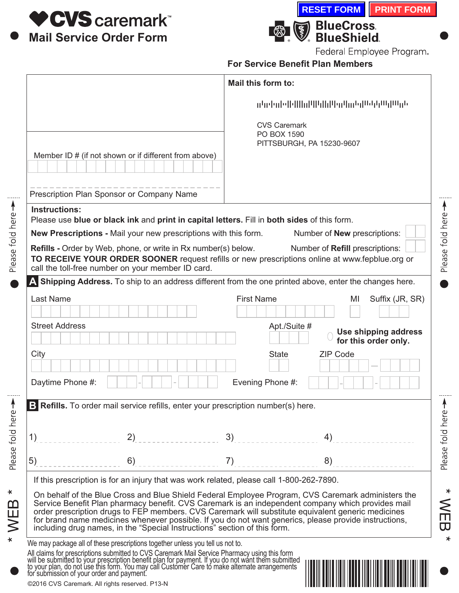

Please fold here >

Please fold here

 $\star$ 

 $*$  WEB



Federal Employee Program.

**For Service Benefit Plan Members** 

|                                                                                             |                                                                                                                                                                                                                                                                                                                      | Mail this form to:                 |                                                                                                                                                                                                                                                                                                                  |
|---------------------------------------------------------------------------------------------|----------------------------------------------------------------------------------------------------------------------------------------------------------------------------------------------------------------------------------------------------------------------------------------------------------------------|------------------------------------|------------------------------------------------------------------------------------------------------------------------------------------------------------------------------------------------------------------------------------------------------------------------------------------------------------------|
|                                                                                             |                                                                                                                                                                                                                                                                                                                      | <b>CVS Caremark</b><br>PO BOX 1590 | մեր Իմբ (1888) մեր Անքայի մեր երկան կամ մեր երկան ա                                                                                                                                                                                                                                                              |
|                                                                                             | Member ID # (if not shown or if different from above)                                                                                                                                                                                                                                                                |                                    | PITTSBURGH, PA 15230-9607                                                                                                                                                                                                                                                                                        |
| Prescription Plan Sponsor or Company Name                                                   |                                                                                                                                                                                                                                                                                                                      |                                    |                                                                                                                                                                                                                                                                                                                  |
| <b>Instructions:</b>                                                                        | Please use blue or black ink and print in capital letters. Fill in both sides of this form.                                                                                                                                                                                                                          |                                    |                                                                                                                                                                                                                                                                                                                  |
|                                                                                             | New Prescriptions - Mail your new prescriptions with this form.<br>Refills - Order by Web, phone, or write in Rx number(s) below.<br>call the toll-free number on your member ID card.                                                                                                                               |                                    | Number of <b>New</b> prescriptions:<br>Number of Refill prescriptions:<br>TO RECEIVE YOUR ORDER SOONER request refills or new prescriptions online at www.fepblue.org or                                                                                                                                         |
|                                                                                             |                                                                                                                                                                                                                                                                                                                      |                                    | A Shipping Address. To ship to an address different from the one printed above, enter the changes here.                                                                                                                                                                                                          |
| <b>Last Name</b>                                                                            |                                                                                                                                                                                                                                                                                                                      | <b>First Name</b>                  | Suffix (JR, SR)<br>MI                                                                                                                                                                                                                                                                                            |
| <b>Street Address</b>                                                                       |                                                                                                                                                                                                                                                                                                                      | Apt./Suite #                       | Use shipping address<br>for this order only.                                                                                                                                                                                                                                                                     |
| City                                                                                        |                                                                                                                                                                                                                                                                                                                      | <b>State</b>                       | <b>ZIP Code</b>                                                                                                                                                                                                                                                                                                  |
| Daytime Phone #:                                                                            |                                                                                                                                                                                                                                                                                                                      | Evening Phone #:                   |                                                                                                                                                                                                                                                                                                                  |
|                                                                                             | Refills. To order mail service refills, enter your prescription number(s) here.                                                                                                                                                                                                                                      |                                    |                                                                                                                                                                                                                                                                                                                  |
| 1)                                                                                          | 2)                                                                                                                                                                                                                                                                                                                   | 3)                                 | 4)                                                                                                                                                                                                                                                                                                               |
| 5)                                                                                          | 6)                                                                                                                                                                                                                                                                                                                   | 7)                                 | 8)                                                                                                                                                                                                                                                                                                               |
|                                                                                             | If this prescription is for an injury that was work related, please call 1-800-262-7890.                                                                                                                                                                                                                             |                                    |                                                                                                                                                                                                                                                                                                                  |
|                                                                                             | order prescription drugs to FEP members. CVS Caremark will substitute equivalent generic medicines<br>including drug names, in the "Special Instructions" section of this form.                                                                                                                                      |                                    | On behalf of the Blue Cross and Blue Shield Federal Employee Program, CVS Caremark administers the<br>Service Benefit Plan pharmacy benefit. CVS Caremark is an independent company which provides mail<br>for brand name medicines whenever possible. If you do not want generics, please provide instructions, |
| for submission of your order and payment.<br>©2016 CVS Caremark. All rights reserved. P13-N | We may package all of these prescriptions together unless you tell us not to.<br>All claims for prescriptions submitted to CVS Caremark Mail Service Pharmacy using this form<br>will be submitted to your prescription benefit plan for payment. If you do not want them submitted<br>to your plan, do not use this |                                    |                                                                                                                                                                                                                                                                                                                  |